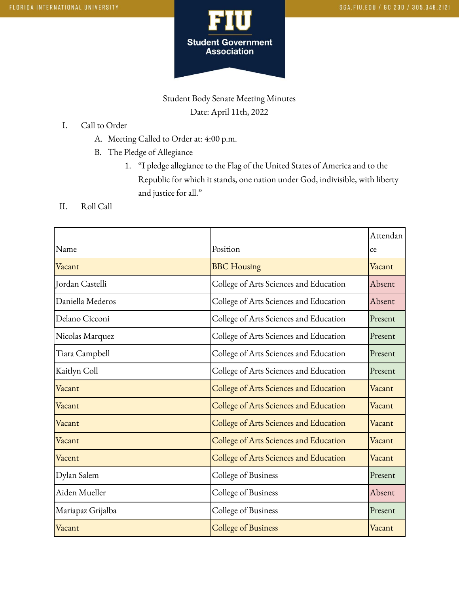

Student Body Senate Meeting Minutes Date: April 11th, 2022

- I. Call to Order
	- A. Meeting Called to Order at: 4:00 p.m.
	- B. The Pledge of Allegiance
		- 1. "I pledge allegiance to the Flag of the United States of America and to the Republic for which it stands, one nation under God, indivisible, with liberty and justice for all."
- II. Roll Call

|                   |                                        | Attendan |
|-------------------|----------------------------------------|----------|
| Name              | Position                               | ce       |
| Vacant            | <b>BBC</b> Housing                     | Vacant   |
| Jordan Castelli   | College of Arts Sciences and Education | Absent   |
| Daniella Mederos  | College of Arts Sciences and Education | Absent   |
| Delano Cicconi    | College of Arts Sciences and Education | Present  |
| Nicolas Marquez   | College of Arts Sciences and Education | Present  |
| Tiara Campbell    | College of Arts Sciences and Education | Present  |
| Kaitlyn Coll      | College of Arts Sciences and Education | Present  |
| Vacant            | College of Arts Sciences and Education | Vacant   |
| Vacant            | College of Arts Sciences and Education | Vacant   |
| Vacant            | College of Arts Sciences and Education | Vacant   |
| Vacant            | College of Arts Sciences and Education | Vacant   |
| Vacent            | College of Arts Sciences and Education | Vacant   |
| Dylan Salem       | College of Business                    | Present  |
| Aiden Mueller     | College of Business                    | Absent   |
| Mariapaz Grijalba | College of Business                    | Present  |
| Vacant            | <b>College of Business</b>             | Vacant   |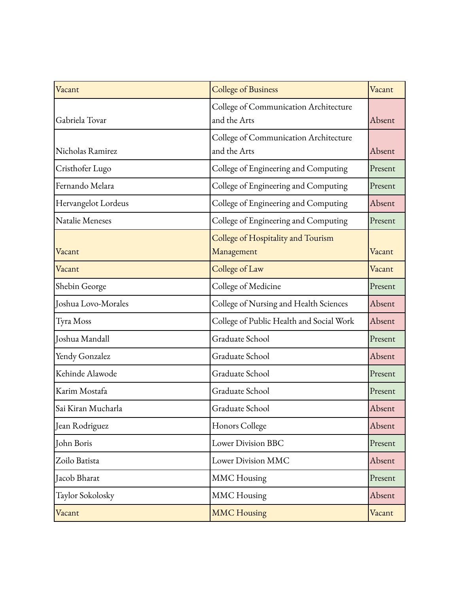| Vacant              | <b>College of Business</b>                            | Vacant  |
|---------------------|-------------------------------------------------------|---------|
| Gabriela Tovar      | College of Communication Architecture<br>and the Arts | Absent  |
| Nicholas Ramirez    | College of Communication Architecture<br>and the Arts | Absent  |
| Cristhofer Lugo     | College of Engineering and Computing                  | Present |
| Fernando Melara     | College of Engineering and Computing                  | Present |
| Hervangelot Lordeus | College of Engineering and Computing                  | Absent  |
| Natalie Meneses     | College of Engineering and Computing                  | Present |
| Vacant              | College of Hospitality and Tourism<br>Management      | Vacant  |
| Vacant              | College of Law                                        | Vacant  |
| Shebin George       | College of Medicine                                   | Present |
| Joshua Lovo-Morales | College of Nursing and Health Sciences                | Absent  |
| Tyra Moss           | College of Public Health and Social Work              | Absent  |
| Joshua Mandall      | Graduate School                                       | Present |
| Yendy Gonzalez      | Graduate School                                       | Absent  |
| Kehinde Alawode     | Graduate School                                       | Present |
| Karim Mostafa       | Graduate School                                       | Present |
| Sai Kiran Mucharla  | Graduate School                                       | Absent  |
| Jean Rodriguez      | Honors College                                        | Absent  |
| John Boris          | <b>Lower Division BBC</b>                             | Present |
| Zoilo Batista       | Lower Division MMC                                    | Absent  |
| Jacob Bharat        | <b>MMC</b> Housing                                    | Present |
| Taylor Sokolosky    | <b>MMC</b> Housing                                    | Absent  |
| Vacant              | <b>MMC Housing</b>                                    | Vacant  |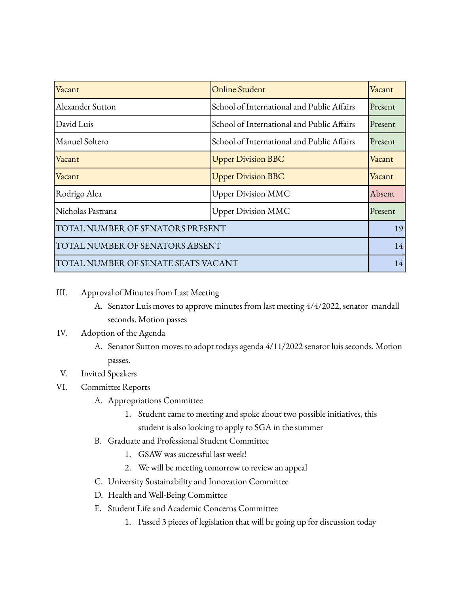| Vacant                              | <b>Online Student</b>                      | Vacant  |
|-------------------------------------|--------------------------------------------|---------|
| Alexander Sutton                    | School of International and Public Affairs | Present |
| David Luis                          | School of International and Public Affairs | Present |
| Manuel Soltero                      | School of International and Public Affairs | Present |
| Vacant                              | <b>Upper Division BBC</b>                  | Vacant  |
| Vacant                              | <b>Upper Division BBC</b>                  | Vacant  |
| Rodrigo Alea                        | <b>Upper Division MMC</b>                  | Absent  |
| Nicholas Pastrana                   | <b>Upper Division MMC</b>                  | Present |
| TOTAL NUMBER OF SENATORS PRESENT    |                                            |         |
| TOTAL NUMBER OF SENATORS ABSENT     |                                            |         |
| TOTAL NUMBER OF SENATE SEATS VACANT |                                            |         |

## III. Approval of Minutes from Last Meeting

A. Senator Luis moves to approve minutes from last meeting 4/4/2022, senator mandall seconds. Motion passes

## IV. Adoption of the Agenda

A. Senator Sutton moves to adopt todays agenda 4/11/2022 senator luis seconds. Motion passes.

## V. Invited Speakers

- VI. Committee Reports
	- A. Appropriations Committee
		- 1. Student came to meeting and spoke about two possible initiatives, this student is also looking to apply to SGA in the summer
	- B. Graduate and Professional Student Committee
		- 1. GSAW was successful last week!
		- 2. We will be meeting tomorrow to review an appeal
	- C. University Sustainability and Innovation Committee
	- D. Health and Well-Being Committee
	- E. Student Life and Academic Concerns Committee
		- 1. Passed 3 pieces of legislation that will be going up for discussion today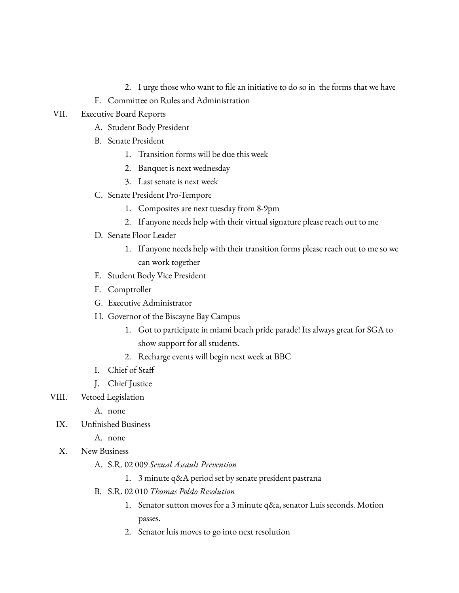- 2. I urge those who want to file an initiative to do so in the forms that we have
- F. Committee on Rules and Administration
- VII. Executive Board Reports
	- A. Student Body President
	- B. Senate President
		- 1. Transition forms will be due this week
		- 2. Banquet is next wednesday
		- 3. Last senate is next week
	- C. Senate President Pro-Tempore
		- 1. Composites are next tuesday from 8-9pm
		- 2. If anyone needs help with their virtual signature please reach out to me
	- D. Senate Floor Leader
		- 1. If anyone needs help with their transition forms please reach out to me so we can work together
	- E. Student Body Vice President
	- F. Comptroller
	- G. Executive Administrator
	- H. Governor of the Biscayne Bay Campus
		- 1. Got to participate in miami beach pride parade! Its always great for SGA to show support for all students.
		- 2. Recharge events will begin next week at BBC
	- I. Chief of Staff
	- J. Chief Justice
- VIII. Vetoed Legislation
	- A. none
	- IX. Unfinished Business
		- A. none
	- X. New Business
		- A. S.R. 02 009 *Sexual Assault Prevention*
			- 1. 3 minute q&A period set by senate president pastrana
		- B. S.R. 02 010 *Thomas Poldo Resolution*
			- 1. Senator sutton moves for a 3 minute q&a, senator Luis seconds. Motion passes.
			- 2. Senator luis moves to go into next resolution